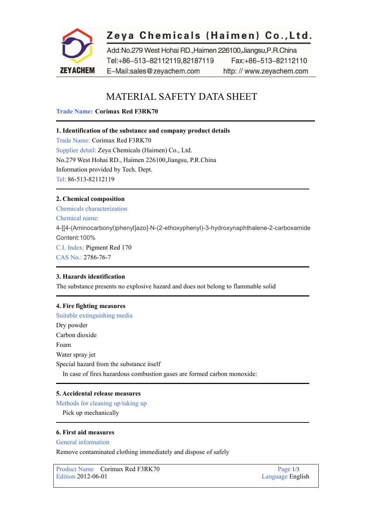

# Zeya Chemicals (Haimen) Co., Ltd.

Add:No.279 West Hohai RD., Haimen 226100, Jiangsu, P.R.China Tel:+86-513-82112119,82187119 Fax:+86-513-82112110 E-Mail:sales@zeyachem.com http://www.zeyachem.com

# MATERIAL SAFETY DATA SHEET

# **Trade Name: Corimax Red F3RK70**

# **1. Identification of the substance and company product details**

Trade Name: Corimax Red F3RK70 Supplier detail: Zeya Chemicals (Haimen) Co., Ltd. No.279 West Hohai RD., Haimen 226100,Jiangsu, P.R.China Information provided by Tech. Dept. Tel: 86-513-82112119

# **2. Chemical composition**

Chemicals characterization Chemical name: 4-[[4-(Aminocarbonyl)phenyl]azo]-N-(2-ethoxyphenyl)-3-hydroxynaphthalene-2-carboxamide Content:100% C.I. Index: Pigment Red 170 CAS No.: 2786-76-7

# **3. Hazards identification**

The substance presents no explosive hazard and does not belong to flammable solid

# **4. Fire fighting measures**

Suitable extinguishing media Dry powder Carbon dioxide Foam Water spray jet Special hazard from the substance itself In case of fires hazardous combustion gases are formed carbon monoxide:

# **5. Accidental release measures**

Methods for cleaning up/taking up Pick up mechanically

# **6. First aid measures**

# General information

Remove contaminated clothing immediately and dispose of safely

Product Name Corimax Red F3RK70 Page 1/3<br>Edition 2012-06-01 Language Eng

Language English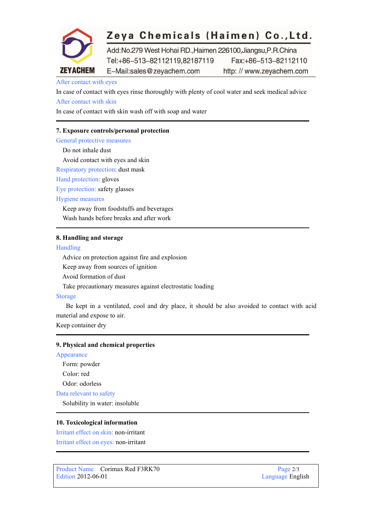

# Zeya Chemicals (Haimen) Co., Ltd.

Add:No.279 West Hohai RD., Haimen 226100, Jiangsu, P.R.China Tel:+86-513-82112119,82187119 Fax:+86-513-82112110 E-Mail:sales@zeyachem.com http://www.zeyachem.com

# After contact with eyes

In case of contact with eyes rinse thoroughly with plenty of cool water and seek medical advice After contact with skin

In case of contact with skin wash off with soap and water

# **7. Exposure controls/personal protection**

General protective measures

Do not inhale dust Avoid contact with eyes and skin Respiratory protection: dust mask Hand protection: gloves

Eye protection: safety glasses

Hygiene measures

Keep away from foodstuffs and beverages Wash hands before breaks and after work

# **8. Handling and storage**

#### Handling

Advice on protection against fire and explosion Keep away from sources of ignition Avoid formation of dust Take precautionary measures against electrostatic loading

# Storage

Be kept in a ventilated, cool and dry place, it should be also avoided to contact with acid material and expose to air.

Keep container dry

# **9. Physical and chemical properties**

Appearance

Form: powder Color: red Odor: odorless

Data relevant to safety

Solubility in water: insoluble

# **10. Toxicological information**

Irritant effect on skin: non-irritant Irritant effect on eyes: non-irritant

Product Name Corimax Red F3RK70 Page 2/3<br>Edition 2012-06-01 Language Eng

Language English